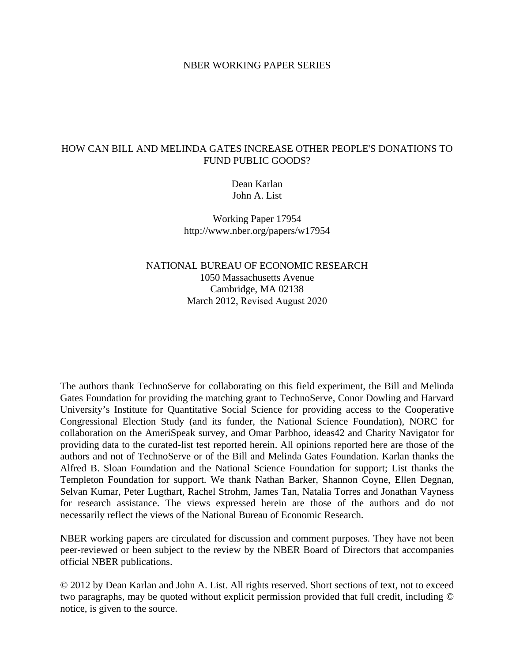### NBER WORKING PAPER SERIES

### HOW CAN BILL AND MELINDA GATES INCREASE OTHER PEOPLE'S DONATIONS TO FUND PUBLIC GOODS?

Dean Karlan John A. List

Working Paper 17954 http://www.nber.org/papers/w17954

# NATIONAL BUREAU OF ECONOMIC RESEARCH 1050 Massachusetts Avenue Cambridge, MA 02138 March 2012, Revised August 2020

The authors thank TechnoServe for collaborating on this field experiment, the Bill and Melinda Gates Foundation for providing the matching grant to TechnoServe, Conor Dowling and Harvard University's Institute for Quantitative Social Science for providing access to the Cooperative Congressional Election Study (and its funder, the National Science Foundation), NORC for collaboration on the AmeriSpeak survey, and Omar Parbhoo, ideas42 and Charity Navigator for providing data to the curated-list test reported herein. All opinions reported here are those of the authors and not of TechnoServe or of the Bill and Melinda Gates Foundation. Karlan thanks the Alfred B. Sloan Foundation and the National Science Foundation for support; List thanks the Templeton Foundation for support. We thank Nathan Barker, Shannon Coyne, Ellen Degnan, Selvan Kumar, Peter Lugthart, Rachel Strohm, James Tan, Natalia Torres and Jonathan Vayness for research assistance. The views expressed herein are those of the authors and do not necessarily reflect the views of the National Bureau of Economic Research.

NBER working papers are circulated for discussion and comment purposes. They have not been peer-reviewed or been subject to the review by the NBER Board of Directors that accompanies official NBER publications.

© 2012 by Dean Karlan and John A. List. All rights reserved. Short sections of text, not to exceed two paragraphs, may be quoted without explicit permission provided that full credit, including © notice, is given to the source.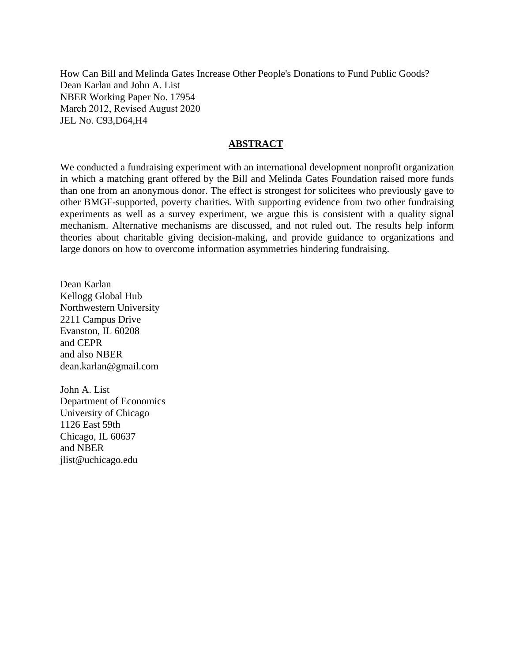How Can Bill and Melinda Gates Increase Other People's Donations to Fund Public Goods? Dean Karlan and John A. List NBER Working Paper No. 17954 March 2012, Revised August 2020 JEL No. C93,D64,H4

### **ABSTRACT**

We conducted a fundraising experiment with an international development nonprofit organization in which a matching grant offered by the Bill and Melinda Gates Foundation raised more funds than one from an anonymous donor. The effect is strongest for solicitees who previously gave to other BMGF-supported, poverty charities. With supporting evidence from two other fundraising experiments as well as a survey experiment, we argue this is consistent with a quality signal mechanism. Alternative mechanisms are discussed, and not ruled out. The results help inform theories about charitable giving decision-making, and provide guidance to organizations and large donors on how to overcome information asymmetries hindering fundraising.

Dean Karlan Kellogg Global Hub Northwestern University 2211 Campus Drive Evanston, IL 60208 and CEPR and also NBER dean.karlan@gmail.com

John A. List Department of Economics University of Chicago 1126 East 59th Chicago, IL 60637 and NBER jlist@uchicago.edu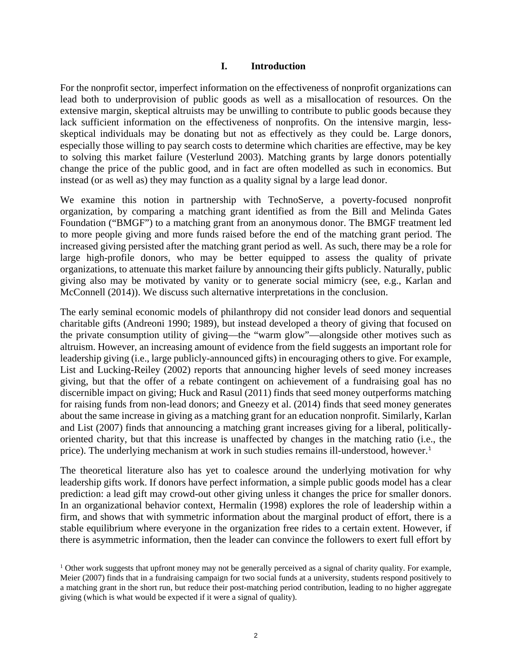### **I. Introduction**

For the nonprofit sector, imperfect information on the effectiveness of nonprofit organizations can lead both to underprovision of public goods as well as a misallocation of resources. On the extensive margin, skeptical altruists may be unwilling to contribute to public goods because they lack sufficient information on the effectiveness of nonprofits. On the intensive margin, lessskeptical individuals may be donating but not as effectively as they could be. Large donors, especially those willing to pay search costs to determine which charities are effective, may be key to solving this market failure (Vesterlund 2003). Matching grants by large donors potentially change the price of the public good, and in fact are often modelled as such in economics. But instead (or as well as) they may function as a quality signal by a large lead donor.

We examine this notion in partnership with TechnoServe, a poverty-focused nonprofit organization, by comparing a matching grant identified as from the Bill and Melinda Gates Foundation ("BMGF") to a matching grant from an anonymous donor. The BMGF treatment led to more people giving and more funds raised before the end of the matching grant period. The increased giving persisted after the matching grant period as well. As such, there may be a role for large high-profile donors, who may be better equipped to assess the quality of private organizations, to attenuate this market failure by announcing their gifts publicly. Naturally, public giving also may be motivated by vanity or to generate social mimicry (see, e.g., Karlan and McConnell (2014)). We discuss such alternative interpretations in the conclusion.

The early seminal economic models of philanthropy did not consider lead donors and sequential charitable gifts (Andreoni 1990; 1989), but instead developed a theory of giving that focused on the private consumption utility of giving—the "warm glow"—alongside other motives such as altruism. However, an increasing amount of evidence from the field suggests an important role for leadership giving (i.e., large publicly-announced gifts) in encouraging others to give. For example, List and Lucking-Reiley (2002) reports that announcing higher levels of seed money increases giving, but that the offer of a rebate contingent on achievement of a fundraising goal has no discernible impact on giving; Huck and Rasul (2011) finds that seed money outperforms matching for raising funds from non-lead donors; and Gneezy et al. (2014) finds that seed money generates about the same increase in giving as a matching grant for an education nonprofit. Similarly, Karlan and List (2007) finds that announcing a matching grant increases giving for a liberal, politicallyoriented charity, but that this increase is unaffected by changes in the matching ratio (i.e., the price). The underlying mechanism at work in such studies remains ill-understood, however.<sup>[1](#page-2-0)</sup>

The theoretical literature also has yet to coalesce around the underlying motivation for why leadership gifts work. If donors have perfect information, a simple public goods model has a clear prediction: a lead gift may crowd-out other giving unless it changes the price for smaller donors. In an organizational behavior context, Hermalin (1998) explores the role of leadership within a firm, and shows that with symmetric information about the marginal product of effort, there is a stable equilibrium where everyone in the organization free rides to a certain extent. However, if there is asymmetric information, then the leader can convince the followers to exert full effort by

<span id="page-2-0"></span><sup>&</sup>lt;sup>1</sup> Other work suggests that upfront money may not be generally perceived as a signal of charity quality. For example, Meier (2007) finds that in a fundraising campaign for two social funds at a university, students respond positively to a matching grant in the short run, but reduce their post-matching period contribution, leading to no higher aggregate giving (which is what would be expected if it were a signal of quality).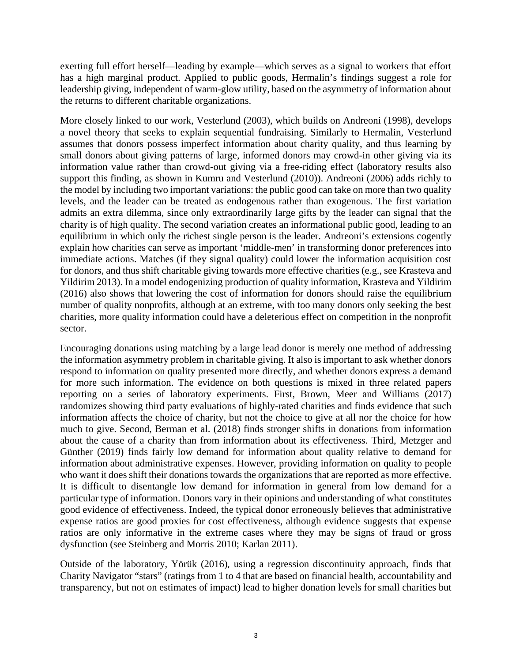exerting full effort herself—leading by example—which serves as a signal to workers that effort has a high marginal product. Applied to public goods, Hermalin's findings suggest a role for leadership giving, independent of warm-glow utility, based on the asymmetry of information about the returns to different charitable organizations.

More closely linked to our work, Vesterlund (2003), which builds on Andreoni (1998), develops a novel theory that seeks to explain sequential fundraising. Similarly to Hermalin, Vesterlund assumes that donors possess imperfect information about charity quality, and thus learning by small donors about giving patterns of large, informed donors may crowd-in other giving via its information value rather than crowd-out giving via a free-riding effect (laboratory results also support this finding, as shown in Kumru and Vesterlund (2010)). Andreoni (2006) adds richly to the model by including two important variations: the public good can take on more than two quality levels, and the leader can be treated as endogenous rather than exogenous. The first variation admits an extra dilemma, since only extraordinarily large gifts by the leader can signal that the charity is of high quality. The second variation creates an informational public good, leading to an equilibrium in which only the richest single person is the leader. Andreoni's extensions cogently explain how charities can serve as important 'middle-men' in transforming donor preferences into immediate actions. Matches (if they signal quality) could lower the information acquisition cost for donors, and thus shift charitable giving towards more effective charities (e.g., see Krasteva and Yildirim 2013). In a model endogenizing production of quality information, Krasteva and Yildirim (2016) also shows that lowering the cost of information for donors should raise the equilibrium number of quality nonprofits, although at an extreme, with too many donors only seeking the best charities, more quality information could have a deleterious effect on competition in the nonprofit sector.

Encouraging donations using matching by a large lead donor is merely one method of addressing the information asymmetry problem in charitable giving. It also is important to ask whether donors respond to information on quality presented more directly, and whether donors express a demand for more such information. The evidence on both questions is mixed in three related papers reporting on a series of laboratory experiments. First, Brown, Meer and Williams (2017) randomizes showing third party evaluations of highly-rated charities and finds evidence that such information affects the choice of charity, but not the choice to give at all nor the choice for how much to give. Second, Berman et al. (2018) finds stronger shifts in donations from information about the cause of a charity than from information about its effectiveness. Third, Metzger and Günther (2019) finds fairly low demand for information about quality relative to demand for information about administrative expenses. However, providing information on quality to people who want it does shift their donations towards the organizations that are reported as more effective. It is difficult to disentangle low demand for information in general from low demand for a particular type of information. Donors vary in their opinions and understanding of what constitutes good evidence of effectiveness. Indeed, the typical donor erroneously believes that administrative expense ratios are good proxies for cost effectiveness, although evidence suggests that expense ratios are only informative in the extreme cases where they may be signs of fraud or gross dysfunction (see Steinberg and Morris 2010; Karlan 2011).

Outside of the laboratory, Yörük (2016), using a regression discontinuity approach, finds that Charity Navigator "stars" (ratings from 1 to 4 that are based on financial health, accountability and transparency, but not on estimates of impact) lead to higher donation levels for small charities but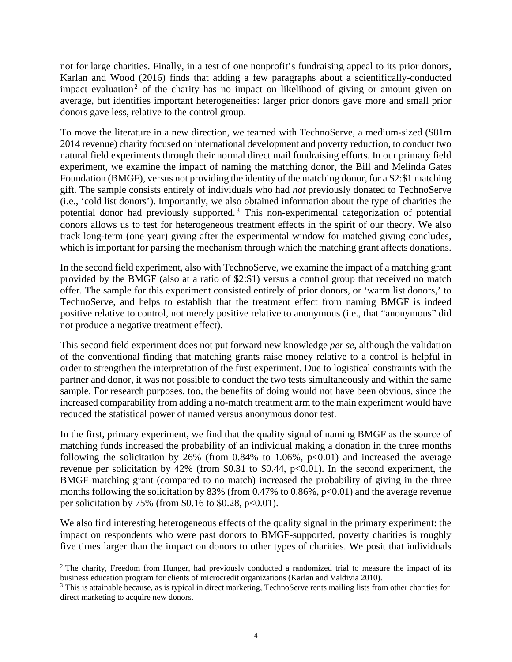not for large charities. Finally, in a test of one nonprofit's fundraising appeal to its prior donors, Karlan and Wood (2016) finds that adding a few paragraphs about a scientifically-conducted impact evaluation<sup>[2](#page-4-0)</sup> of the charity has no impact on likelihood of giving or amount given on average, but identifies important heterogeneities: larger prior donors gave more and small prior donors gave less, relative to the control group.

To move the literature in a new direction, we teamed with TechnoServe, a medium-sized (\$81m 2014 revenue) charity focused on international development and poverty reduction, to conduct two natural field experiments through their normal direct mail fundraising efforts. In our primary field experiment, we examine the impact of naming the matching donor, the Bill and Melinda Gates Foundation (BMGF), versus not providing the identity of the matching donor, for a \$2:\$1 matching gift. The sample consists entirely of individuals who had *not* previously donated to TechnoServe (i.e., 'cold list donors'). Importantly, we also obtained information about the type of charities the potential donor had previously supported.<sup>[3](#page-4-1)</sup> This non-experimental categorization of potential donors allows us to test for heterogeneous treatment effects in the spirit of our theory. We also track long-term (one year) giving after the experimental window for matched giving concludes, which is important for parsing the mechanism through which the matching grant affects donations.

In the second field experiment, also with TechnoServe, we examine the impact of a matching grant provided by the BMGF (also at a ratio of \$2:\$1) versus a control group that received no match offer. The sample for this experiment consisted entirely of prior donors, or 'warm list donors,' to TechnoServe, and helps to establish that the treatment effect from naming BMGF is indeed positive relative to control, not merely positive relative to anonymous (i.e., that "anonymous" did not produce a negative treatment effect).

This second field experiment does not put forward new knowledge *per se*, although the validation of the conventional finding that matching grants raise money relative to a control is helpful in order to strengthen the interpretation of the first experiment. Due to logistical constraints with the partner and donor, it was not possible to conduct the two tests simultaneously and within the same sample. For research purposes, too, the benefits of doing would not have been obvious, since the increased comparability from adding a no-match treatment arm to the main experiment would have reduced the statistical power of named versus anonymous donor test.

In the first, primary experiment, we find that the quality signal of naming BMGF as the source of matching funds increased the probability of an individual making a donation in the three months following the solicitation by 26% (from  $0.84\%$  to 1.06%, p<0.01) and increased the average revenue per solicitation by 42% (from \$0.31 to \$0.44,  $p<0.01$ ). In the second experiment, the BMGF matching grant (compared to no match) increased the probability of giving in the three months following the solicitation by 83% (from  $0.47\%$  to  $0.86\%$ , p<0.01) and the average revenue per solicitation by 75% (from \$0.16 to \$0.28, p<0.01).

We also find interesting heterogeneous effects of the quality signal in the primary experiment: the impact on respondents who were past donors to BMGF-supported, poverty charities is roughly five times larger than the impact on donors to other types of charities. We posit that individuals

<span id="page-4-0"></span><sup>&</sup>lt;sup>2</sup> The charity, Freedom from Hunger, had previously conducted a randomized trial to measure the impact of its business education program for clients of microcredit organizations (Karlan and Valdivia 2010).

<span id="page-4-1"></span><sup>&</sup>lt;sup>3</sup> This is attainable because, as is typical in direct marketing, TechnoServe rents mailing lists from other charities for direct marketing to acquire new donors.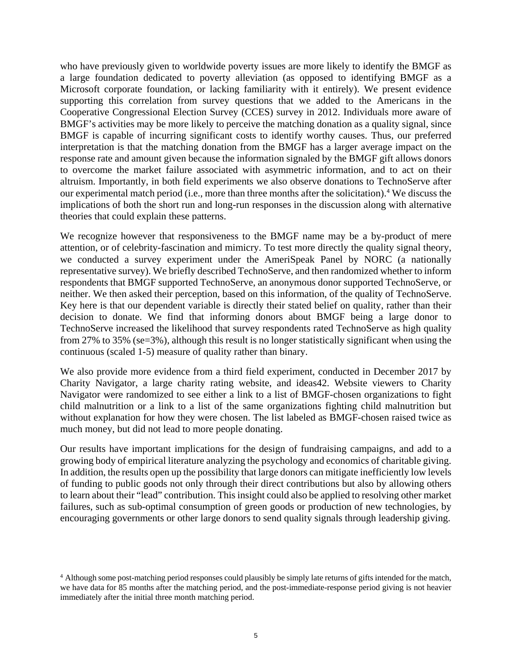who have previously given to worldwide poverty issues are more likely to identify the BMGF as a large foundation dedicated to poverty alleviation (as opposed to identifying BMGF as a Microsoft corporate foundation, or lacking familiarity with it entirely). We present evidence supporting this correlation from survey questions that we added to the Americans in the Cooperative Congressional Election Survey (CCES) survey in 2012. Individuals more aware of BMGF's activities may be more likely to perceive the matching donation as a quality signal, since BMGF is capable of incurring significant costs to identify worthy causes. Thus, our preferred interpretation is that the matching donation from the BMGF has a larger average impact on the response rate and amount given because the information signaled by the BMGF gift allows donors to overcome the market failure associated with asymmetric information, and to act on their altruism. Importantly, in both field experiments we also observe donations to TechnoServe after our experimental match period (i.e., more than three months after the solicitation). [4](#page-5-0) We discuss the implications of both the short run and long-run responses in the discussion along with alternative theories that could explain these patterns.

We recognize however that responsiveness to the BMGF name may be a by-product of mere attention, or of celebrity-fascination and mimicry. To test more directly the quality signal theory, we conducted a survey experiment under the AmeriSpeak Panel by NORC (a nationally representative survey). We briefly described TechnoServe, and then randomized whether to inform respondents that BMGF supported TechnoServe, an anonymous donor supported TechnoServe, or neither. We then asked their perception, based on this information, of the quality of TechnoServe. Key here is that our dependent variable is directly their stated belief on quality, rather than their decision to donate. We find that informing donors about BMGF being a large donor to TechnoServe increased the likelihood that survey respondents rated TechnoServe as high quality from 27% to 35% (se=3%), although this result is no longer statistically significant when using the continuous (scaled 1-5) measure of quality rather than binary.

We also provide more evidence from a third field experiment, conducted in December 2017 by Charity Navigator, a large charity rating website, and ideas42. Website viewers to Charity Navigator were randomized to see either a link to a list of BMGF-chosen organizations to fight child malnutrition or a link to a list of the same organizations fighting child malnutrition but without explanation for how they were chosen. The list labeled as BMGF-chosen raised twice as much money, but did not lead to more people donating.

Our results have important implications for the design of fundraising campaigns, and add to a growing body of empirical literature analyzing the psychology and economics of charitable giving. In addition, the results open up the possibility that large donors can mitigate inefficiently low levels of funding to public goods not only through their direct contributions but also by allowing others to learn about their "lead" contribution. This insight could also be applied to resolving other market failures, such as sub-optimal consumption of green goods or production of new technologies, by encouraging governments or other large donors to send quality signals through leadership giving.

<span id="page-5-0"></span><sup>&</sup>lt;sup>4</sup> Although some post-matching period responses could plausibly be simply late returns of gifts intended for the match, we have data for 85 months after the matching period, and the post-immediate-response period giving is not heavier immediately after the initial three month matching period.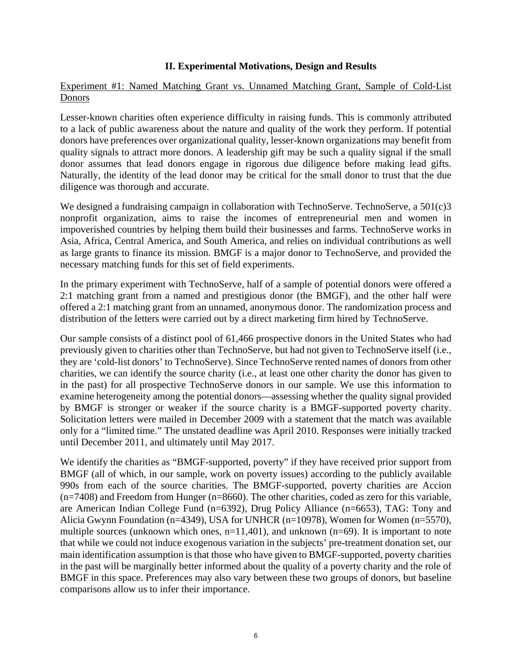# **II. Experimental Motivations, Design and Results**

# Experiment #1: Named Matching Grant vs. Unnamed Matching Grant, Sample of Cold-List Donors

Lesser-known charities often experience difficulty in raising funds. This is commonly attributed to a lack of public awareness about the nature and quality of the work they perform. If potential donors have preferences over organizational quality, lesser-known organizations may benefit from quality signals to attract more donors. A leadership gift may be such a quality signal if the small donor assumes that lead donors engage in rigorous due diligence before making lead gifts. Naturally, the identity of the lead donor may be critical for the small donor to trust that the due diligence was thorough and accurate.

We designed a fundraising campaign in collaboration with TechnoServe. TechnoServe, a 501(c)3 nonprofit organization, aims to raise the incomes of entrepreneurial men and women in impoverished countries by helping them build their businesses and farms. TechnoServe works in Asia, Africa, Central America, and South America, and relies on individual contributions as well as large grants to finance its mission. BMGF is a major donor to TechnoServe, and provided the necessary matching funds for this set of field experiments.

In the primary experiment with TechnoServe, half of a sample of potential donors were offered a 2:1 matching grant from a named and prestigious donor (the BMGF), and the other half were offered a 2:1 matching grant from an unnamed, anonymous donor. The randomization process and distribution of the letters were carried out by a direct marketing firm hired by TechnoServe.

Our sample consists of a distinct pool of 61,466 prospective donors in the United States who had previously given to charities other than TechnoServe, but had not given to TechnoServe itself (i.e., they are 'cold-list donors' to TechnoServe). Since TechnoServe rented names of donors from other charities, we can identify the source charity (i.e., at least one other charity the donor has given to in the past) for all prospective TechnoServe donors in our sample. We use this information to examine heterogeneity among the potential donors—assessing whether the quality signal provided by BMGF is stronger or weaker if the source charity is a BMGF-supported poverty charity. Solicitation letters were mailed in December 2009 with a statement that the match was available only for a "limited time." The unstated deadline was April 2010. Responses were initially tracked until December 2011, and ultimately until May 2017.

We identify the charities as "BMGF-supported, poverty" if they have received prior support from BMGF (all of which, in our sample, work on poverty issues) according to the publicly available 990s from each of the source charities. The BMGF-supported, poverty charities are Accion (n=7408) and Freedom from Hunger (n=8660). The other charities, coded as zero for this variable, are American Indian College Fund (n=6392), Drug Policy Alliance (n=6653), TAG: Tony and Alicia Gwynn Foundation (n=4349), USA for UNHCR (n=10978), Women for Women (n=5570), multiple sources (unknown which ones, n=11,401), and unknown (n=69). It is important to note that while we could not induce exogenous variation in the subjects' pre-treatment donation set, our main identification assumption is that those who have given to BMGF-supported, poverty charities in the past will be marginally better informed about the quality of a poverty charity and the role of BMGF in this space. Preferences may also vary between these two groups of donors, but baseline comparisons allow us to infer their importance.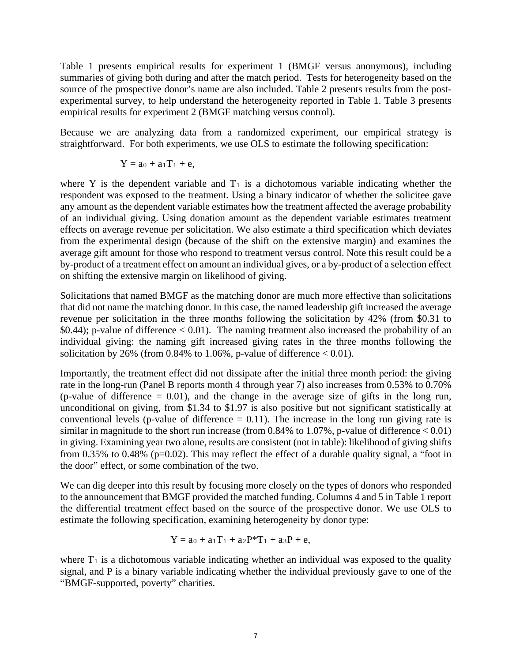Table 1 presents empirical results for experiment 1 (BMGF versus anonymous), including summaries of giving both during and after the match period. Tests for heterogeneity based on the source of the prospective donor's name are also included. Table 2 presents results from the postexperimental survey, to help understand the heterogeneity reported in Table 1. Table 3 presents empirical results for experiment 2 (BMGF matching versus control).

Because we are analyzing data from a randomized experiment, our empirical strategy is straightforward. For both experiments, we use OLS to estimate the following specification:

$$
Y = a_0 + a_1 T_1 + e,
$$

where Y is the dependent variable and  $T_1$  is a dichotomous variable indicating whether the respondent was exposed to the treatment. Using a binary indicator of whether the solicitee gave any amount as the dependent variable estimates how the treatment affected the average probability of an individual giving. Using donation amount as the dependent variable estimates treatment effects on average revenue per solicitation. We also estimate a third specification which deviates from the experimental design (because of the shift on the extensive margin) and examines the average gift amount for those who respond to treatment versus control. Note this result could be a by-product of a treatment effect on amount an individual gives, or a by-product of a selection effect on shifting the extensive margin on likelihood of giving.

Solicitations that named BMGF as the matching donor are much more effective than solicitations that did not name the matching donor. In this case, the named leadership gift increased the average revenue per solicitation in the three months following the solicitation by 42% (from \$0.31 to  $$0.44$ ); p-value of difference  $< 0.01$ ). The naming treatment also increased the probability of an individual giving: the naming gift increased giving rates in the three months following the solicitation by 26% (from  $0.84\%$  to  $1.06\%$ , p-value of difference < 0.01).

Importantly, the treatment effect did not dissipate after the initial three month period: the giving rate in the long-run (Panel B reports month 4 through year 7) also increases from 0.53% to 0.70% (p-value of difference  $= 0.01$ ), and the change in the average size of gifts in the long run, unconditional on giving, from \$1.34 to \$1.97 is also positive but not significant statistically at conventional levels (p-value of difference  $= 0.11$ ). The increase in the long run giving rate is similar in magnitude to the short run increase (from  $0.84\%$  to  $1.07\%$ , p-value of difference  $< 0.01$ ) in giving. Examining year two alone, results are consistent (not in table): likelihood of giving shifts from 0.35% to 0.48% (p=0.02). This may reflect the effect of a durable quality signal, a "foot in the door" effect, or some combination of the two.

We can dig deeper into this result by focusing more closely on the types of donors who responded to the announcement that BMGF provided the matched funding. Columns 4 and 5 in Table 1 report the differential treatment effect based on the source of the prospective donor. We use OLS to estimate the following specification, examining heterogeneity by donor type:

$$
Y = a_0 + a_1 T_1 + a_2 P^* T_1 + a_3 P + e,
$$

where  $T_1$  is a dichotomous variable indicating whether an individual was exposed to the quality signal, and P is a binary variable indicating whether the individual previously gave to one of the "BMGF-supported, poverty" charities.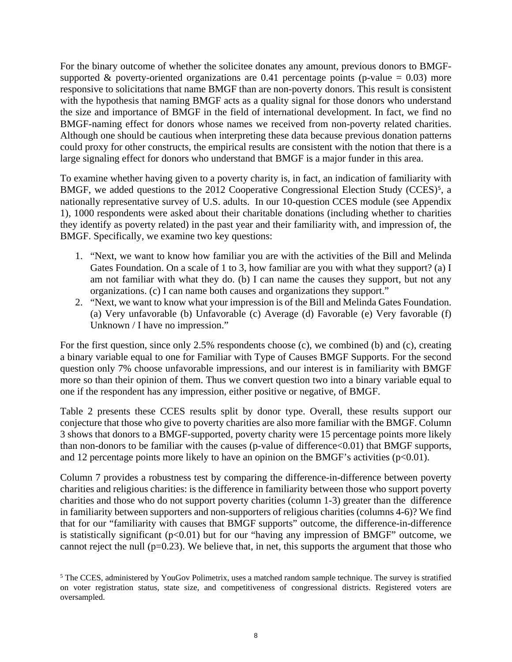For the binary outcome of whether the solicitee donates any amount, previous donors to BMGFsupported & poverty-oriented organizations are 0.41 percentage points (p-value =  $0.03$ ) more responsive to solicitations that name BMGF than are non-poverty donors. This result is consistent with the hypothesis that naming BMGF acts as a quality signal for those donors who understand the size and importance of BMGF in the field of international development. In fact, we find no BMGF-naming effect for donors whose names we received from non-poverty related charities. Although one should be cautious when interpreting these data because previous donation patterns could proxy for other constructs, the empirical results are consistent with the notion that there is a large signaling effect for donors who understand that BMGF is a major funder in this area.

To examine whether having given to a poverty charity is, in fact, an indication of familiarity with BMGF, we added questions to the 2012 Cooperative Congressional Election Study (CCES)<sup>[5](#page-8-0)</sup>, a nationally representative survey of U.S. adults. In our 10-question CCES module (see Appendix 1), 1000 respondents were asked about their charitable donations (including whether to charities they identify as poverty related) in the past year and their familiarity with, and impression of, the BMGF. Specifically, we examine two key questions:

- 1. "Next, we want to know how familiar you are with the activities of the Bill and Melinda Gates Foundation. On a scale of 1 to 3, how familiar are you with what they support? (a) I am not familiar with what they do. (b) I can name the causes they support, but not any organizations. (c) I can name both causes and organizations they support."
- 2. "Next, we want to know what your impression is of the Bill and Melinda Gates Foundation. (a) Very unfavorable (b) Unfavorable (c) Average (d) Favorable (e) Very favorable (f) Unknown / I have no impression."

For the first question, since only 2.5% respondents choose (c), we combined (b) and (c), creating a binary variable equal to one for Familiar with Type of Causes BMGF Supports. For the second question only 7% choose unfavorable impressions, and our interest is in familiarity with BMGF more so than their opinion of them. Thus we convert question two into a binary variable equal to one if the respondent has any impression, either positive or negative, of BMGF.

Table 2 presents these CCES results split by donor type. Overall, these results support our conjecture that those who give to poverty charities are also more familiar with the BMGF. Column 3 shows that donors to a BMGF-supported, poverty charity were 15 percentage points more likely than non-donors to be familiar with the causes (p-value of difference<0.01) that BMGF supports, and 12 percentage points more likely to have an opinion on the BMGF's activities  $(p<0.01)$ .

Column 7 provides a robustness test by comparing the difference-in-difference between poverty charities and religious charities: is the difference in familiarity between those who support poverty charities and those who do not support poverty charities (column 1-3) greater than the difference in familiarity between supporters and non-supporters of religious charities (columns 4-6)? We find that for our "familiarity with causes that BMGF supports" outcome, the difference-in-difference is statistically significant ( $p<0.01$ ) but for our "having any impression of BMGF" outcome, we cannot reject the null ( $p=0.23$ ). We believe that, in net, this supports the argument that those who

<span id="page-8-0"></span><sup>&</sup>lt;sup>5</sup> The CCES, administered by YouGov Polimetrix, uses a matched random sample technique. The survey is stratified on voter registration status, state size, and competitiveness of congressional districts. Registered voters are oversampled.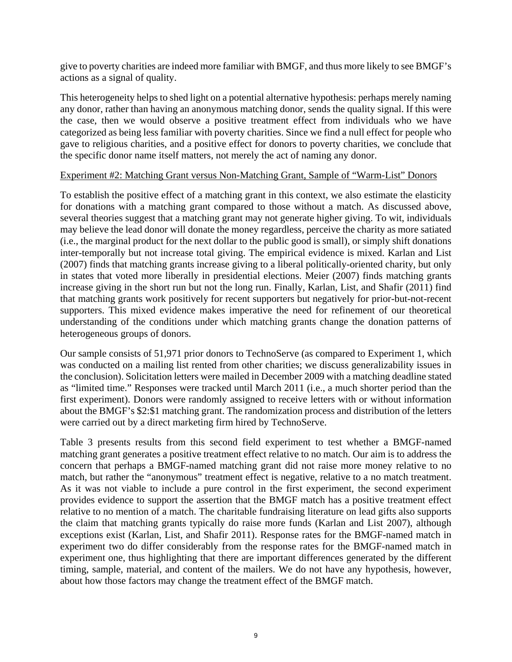give to poverty charities are indeed more familiar with BMGF, and thus more likely to see BMGF's actions as a signal of quality.

This heterogeneity helps to shed light on a potential alternative hypothesis: perhaps merely naming any donor, rather than having an anonymous matching donor, sends the quality signal. If this were the case, then we would observe a positive treatment effect from individuals who we have categorized as being less familiar with poverty charities. Since we find a null effect for people who gave to religious charities, and a positive effect for donors to poverty charities, we conclude that the specific donor name itself matters, not merely the act of naming any donor.

## Experiment #2: Matching Grant versus Non-Matching Grant, Sample of "Warm-List" Donors

To establish the positive effect of a matching grant in this context, we also estimate the elasticity for donations with a matching grant compared to those without a match. As discussed above, several theories suggest that a matching grant may not generate higher giving. To wit, individuals may believe the lead donor will donate the money regardless, perceive the charity as more satiated (i.e., the marginal product for the next dollar to the public good is small), or simply shift donations inter-temporally but not increase total giving. The empirical evidence is mixed. Karlan and List (2007) finds that matching grants increase giving to a liberal politically-oriented charity, but only in states that voted more liberally in presidential elections. Meier (2007) finds matching grants increase giving in the short run but not the long run. Finally, Karlan, List, and Shafir (2011) find that matching grants work positively for recent supporters but negatively for prior-but-not-recent supporters. This mixed evidence makes imperative the need for refinement of our theoretical understanding of the conditions under which matching grants change the donation patterns of heterogeneous groups of donors.

Our sample consists of 51,971 prior donors to TechnoServe (as compared to Experiment 1, which was conducted on a mailing list rented from other charities; we discuss generalizability issues in the conclusion). Solicitation letters were mailed in December 2009 with a matching deadline stated as "limited time." Responses were tracked until March 2011 (i.e., a much shorter period than the first experiment). Donors were randomly assigned to receive letters with or without information about the BMGF's \$2:\$1 matching grant. The randomization process and distribution of the letters were carried out by a direct marketing firm hired by TechnoServe.

Table 3 presents results from this second field experiment to test whether a BMGF-named matching grant generates a positive treatment effect relative to no match. Our aim is to address the concern that perhaps a BMGF-named matching grant did not raise more money relative to no match, but rather the "anonymous" treatment effect is negative, relative to a no match treatment. As it was not viable to include a pure control in the first experiment, the second experiment provides evidence to support the assertion that the BMGF match has a positive treatment effect relative to no mention of a match. The charitable fundraising literature on lead gifts also supports the claim that matching grants typically do raise more funds (Karlan and List 2007), although exceptions exist (Karlan, List, and Shafir 2011). Response rates for the BMGF-named match in experiment two do differ considerably from the response rates for the BMGF-named match in experiment one, thus highlighting that there are important differences generated by the different timing, sample, material, and content of the mailers. We do not have any hypothesis, however, about how those factors may change the treatment effect of the BMGF match.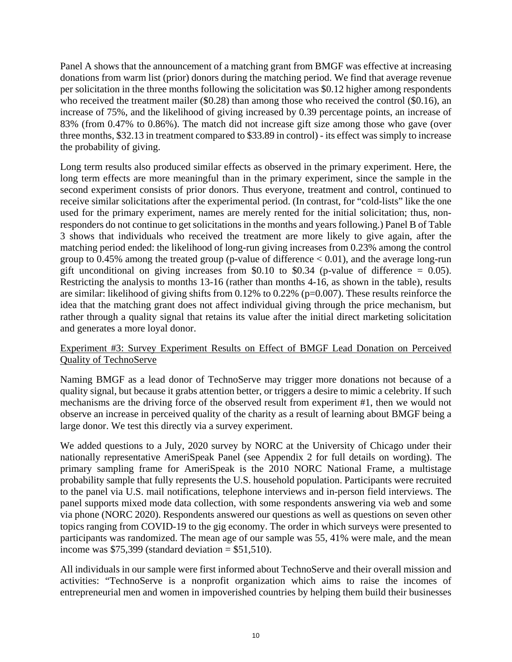Panel A shows that the announcement of a matching grant from BMGF was effective at increasing donations from warm list (prior) donors during the matching period. We find that average revenue per solicitation in the three months following the solicitation was \$0.12 higher among respondents who received the treatment mailer (\$0.28) than among those who received the control (\$0.16), an increase of 75%, and the likelihood of giving increased by 0.39 percentage points, an increase of 83% (from 0.47% to 0.86%). The match did not increase gift size among those who gave (over three months, \$32.13 in treatment compared to \$33.89 in control) - its effect was simply to increase the probability of giving.

Long term results also produced similar effects as observed in the primary experiment. Here, the long term effects are more meaningful than in the primary experiment, since the sample in the second experiment consists of prior donors. Thus everyone, treatment and control, continued to receive similar solicitations after the experimental period. (In contrast, for "cold-lists" like the one used for the primary experiment, names are merely rented for the initial solicitation; thus, nonresponders do not continue to get solicitations in the months and years following.) Panel B of Table 3 shows that individuals who received the treatment are more likely to give again, after the matching period ended: the likelihood of long-run giving increases from 0.23% among the control group to  $0.45\%$  among the treated group (p-value of difference  $< 0.01$ ), and the average long-run gift unconditional on giving increases from \$0.10 to \$0.34 (p-value of difference  $= 0.05$ ). Restricting the analysis to months 13-16 (rather than months 4-16, as shown in the table), results are similar: likelihood of giving shifts from 0.12% to 0.22% (p=0.007). These results reinforce the idea that the matching grant does not affect individual giving through the price mechanism, but rather through a quality signal that retains its value after the initial direct marketing solicitation and generates a more loyal donor.

# Experiment #3: Survey Experiment Results on Effect of BMGF Lead Donation on Perceived Quality of TechnoServe

Naming BMGF as a lead donor of TechnoServe may trigger more donations not because of a quality signal, but because it grabs attention better, or triggers a desire to mimic a celebrity. If such mechanisms are the driving force of the observed result from experiment #1, then we would not observe an increase in perceived quality of the charity as a result of learning about BMGF being a large donor. We test this directly via a survey experiment.

We added questions to a July, 2020 survey by NORC at the University of Chicago under their nationally representative AmeriSpeak Panel (see Appendix 2 for full details on wording). The primary sampling frame for AmeriSpeak is the 2010 NORC National Frame, a multistage probability sample that fully represents the U.S. household population. Participants were recruited to the panel via U.S. mail notifications, telephone interviews and in-person field interviews. The panel supports mixed mode data collection, with some respondents answering via web and some via phone (NORC 2020). Respondents answered our questions as well as questions on seven other topics ranging from COVID-19 to the gig economy. The order in which surveys were presented to participants was randomized. The mean age of our sample was 55, 41% were male, and the mean income was  $$75,399$  (standard deviation = \$51,510).

All individuals in our sample were first informed about TechnoServe and their overall mission and activities: "TechnoServe is a nonprofit organization which aims to raise the incomes of entrepreneurial men and women in impoverished countries by helping them build their businesses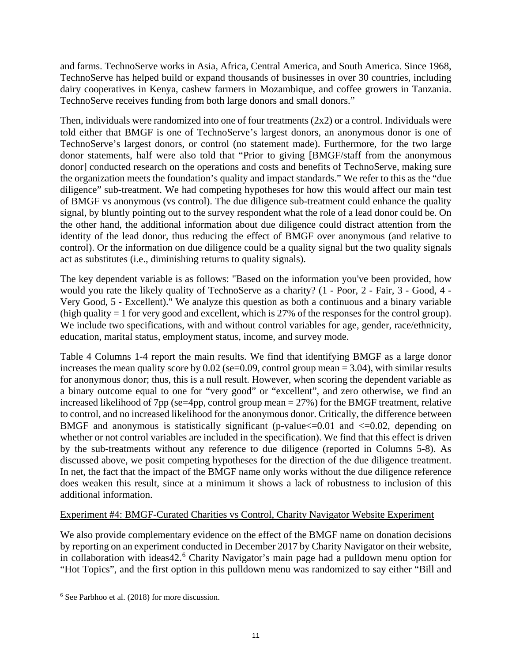and farms. TechnoServe works in Asia, Africa, Central America, and South America. Since 1968, TechnoServe has helped build or expand thousands of businesses in over 30 countries, including dairy cooperatives in Kenya, cashew farmers in Mozambique, and coffee growers in Tanzania. TechnoServe receives funding from both large donors and small donors."

Then, individuals were randomized into one of four treatments  $(2x2)$  or a control. Individuals were told either that BMGF is one of TechnoServe's largest donors, an anonymous donor is one of TechnoServe's largest donors, or control (no statement made). Furthermore, for the two large donor statements, half were also told that "Prior to giving [BMGF/staff from the anonymous donor] conducted research on the operations and costs and benefits of TechnoServe, making sure the organization meets the foundation's quality and impact standards." We refer to this as the "due diligence" sub-treatment. We had competing hypotheses for how this would affect our main test of BMGF vs anonymous (vs control). The due diligence sub-treatment could enhance the quality signal, by bluntly pointing out to the survey respondent what the role of a lead donor could be. On the other hand, the additional information about due diligence could distract attention from the identity of the lead donor, thus reducing the effect of BMGF over anonymous (and relative to control). Or the information on due diligence could be a quality signal but the two quality signals act as substitutes (i.e., diminishing returns to quality signals).

The key dependent variable is as follows: "Based on the information you've been provided, how would you rate the likely quality of TechnoServe as a charity? (1 - Poor, 2 - Fair, 3 - Good, 4 - Very Good, 5 - Excellent)." We analyze this question as both a continuous and a binary variable (high quality  $= 1$  for very good and excellent, which is 27% of the responses for the control group). We include two specifications, with and without control variables for age, gender, race/ethnicity, education, marital status, employment status, income, and survey mode.

Table 4 Columns 1-4 report the main results. We find that identifying BMGF as a large donor increases the mean quality score by 0.02 (se=0.09, control group mean = 3.04), with similar results for anonymous donor; thus, this is a null result. However, when scoring the dependent variable as a binary outcome equal to one for "very good" or "excellent", and zero otherwise, we find an increased likelihood of 7pp (se=4pp, control group mean  $= 27\%$ ) for the BMGF treatment, relative to control, and no increased likelihood for the anonymous donor. Critically, the difference between BMGF and anonymous is statistically significant (p-value $\leq$ =0.01 and  $\leq$ =0.02, depending on whether or not control variables are included in the specification). We find that this effect is driven by the sub-treatments without any reference to due diligence (reported in Columns 5-8). As discussed above, we posit competing hypotheses for the direction of the due diligence treatment. In net, the fact that the impact of the BMGF name only works without the due diligence reference does weaken this result, since at a minimum it shows a lack of robustness to inclusion of this additional information.

# Experiment #4: BMGF-Curated Charities vs Control, Charity Navigator Website Experiment

We also provide complementary evidence on the effect of the BMGF name on donation decisions by reporting on an experiment conducted in December 2017 by Charity Navigator on their website, in collaboration with ideas42.<sup>[6](#page-11-0)</sup> Charity Navigator's main page had a pulldown menu option for "Hot Topics", and the first option in this pulldown menu was randomized to say either "Bill and

<span id="page-11-0"></span><sup>6</sup> See Parbhoo et al. (2018) for more discussion.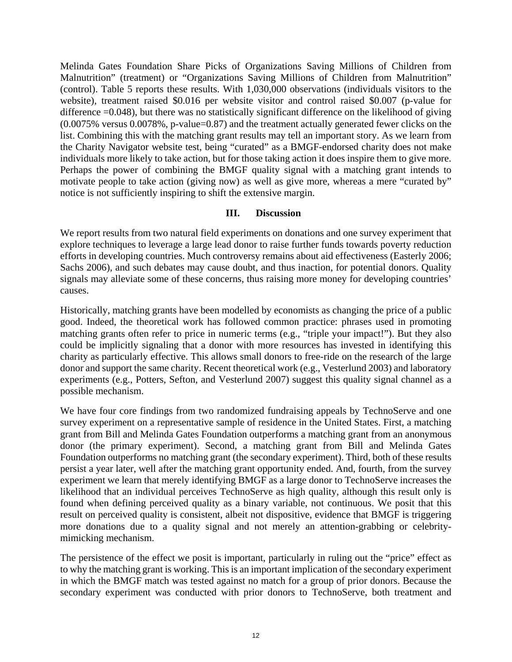Melinda Gates Foundation Share Picks of Organizations Saving Millions of Children from Malnutrition" (treatment) or "Organizations Saving Millions of Children from Malnutrition" (control). Table 5 reports these results. With 1,030,000 observations (individuals visitors to the website), treatment raised \$0.016 per website visitor and control raised \$0.007 (p-value for difference =0.048), but there was no statistically significant difference on the likelihood of giving (0.0075% versus 0.0078%, p-value=0.87) and the treatment actually generated fewer clicks on the list. Combining this with the matching grant results may tell an important story. As we learn from the Charity Navigator website test, being "curated" as a BMGF-endorsed charity does not make individuals more likely to take action, but for those taking action it does inspire them to give more. Perhaps the power of combining the BMGF quality signal with a matching grant intends to motivate people to take action (giving now) as well as give more, whereas a mere "curated by" notice is not sufficiently inspiring to shift the extensive margin.

# **III. Discussion**

We report results from two natural field experiments on donations and one survey experiment that explore techniques to leverage a large lead donor to raise further funds towards poverty reduction efforts in developing countries. Much controversy remains about aid effectiveness (Easterly 2006; Sachs 2006), and such debates may cause doubt, and thus inaction, for potential donors. Quality signals may alleviate some of these concerns, thus raising more money for developing countries' causes.

Historically, matching grants have been modelled by economists as changing the price of a public good. Indeed, the theoretical work has followed common practice: phrases used in promoting matching grants often refer to price in numeric terms (e.g., "triple your impact!"). But they also could be implicitly signaling that a donor with more resources has invested in identifying this charity as particularly effective. This allows small donors to free-ride on the research of the large donor and support the same charity. Recent theoretical work (e.g., Vesterlund 2003) and laboratory experiments (e.g., Potters, Sefton, and Vesterlund 2007) suggest this quality signal channel as a possible mechanism.

We have four core findings from two randomized fundraising appeals by TechnoServe and one survey experiment on a representative sample of residence in the United States. First, a matching grant from Bill and Melinda Gates Foundation outperforms a matching grant from an anonymous donor (the primary experiment). Second, a matching grant from Bill and Melinda Gates Foundation outperforms no matching grant (the secondary experiment). Third, both of these results persist a year later, well after the matching grant opportunity ended. And, fourth, from the survey experiment we learn that merely identifying BMGF as a large donor to TechnoServe increases the likelihood that an individual perceives TechnoServe as high quality, although this result only is found when defining perceived quality as a binary variable, not continuous. We posit that this result on perceived quality is consistent, albeit not dispositive, evidence that BMGF is triggering more donations due to a quality signal and not merely an attention-grabbing or celebritymimicking mechanism.

The persistence of the effect we posit is important, particularly in ruling out the "price" effect as to why the matching grant is working. This is an important implication of the secondary experiment in which the BMGF match was tested against no match for a group of prior donors. Because the secondary experiment was conducted with prior donors to TechnoServe, both treatment and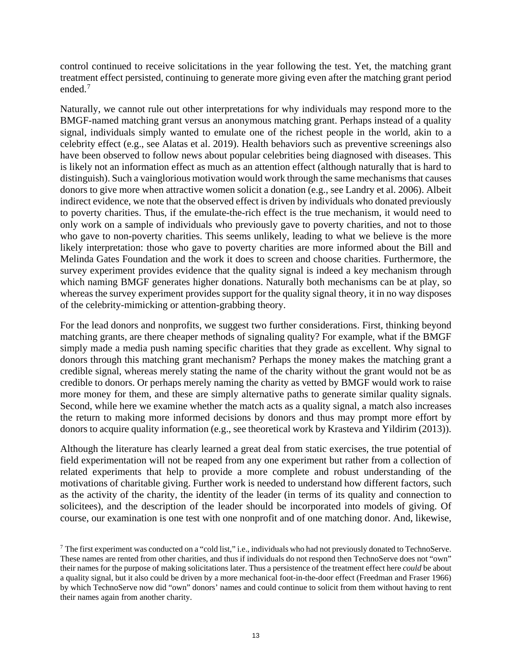control continued to receive solicitations in the year following the test. Yet, the matching grant treatment effect persisted, continuing to generate more giving even after the matching grant period ended.<sup>[7](#page-13-0)</sup>

Naturally, we cannot rule out other interpretations for why individuals may respond more to the BMGF-named matching grant versus an anonymous matching grant. Perhaps instead of a quality signal, individuals simply wanted to emulate one of the richest people in the world, akin to a celebrity effect (e.g., see Alatas et al. 2019). Health behaviors such as preventive screenings also have been observed to follow news about popular celebrities being diagnosed with diseases. This is likely not an information effect as much as an attention effect (although naturally that is hard to distinguish). Such a vainglorious motivation would work through the same mechanisms that causes donors to give more when attractive women solicit a donation (e.g., see Landry et al. 2006). Albeit indirect evidence, we note that the observed effect is driven by individuals who donated previously to poverty charities. Thus, if the emulate-the-rich effect is the true mechanism, it would need to only work on a sample of individuals who previously gave to poverty charities, and not to those who gave to non-poverty charities. This seems unlikely, leading to what we believe is the more likely interpretation: those who gave to poverty charities are more informed about the Bill and Melinda Gates Foundation and the work it does to screen and choose charities. Furthermore, the survey experiment provides evidence that the quality signal is indeed a key mechanism through which naming BMGF generates higher donations. Naturally both mechanisms can be at play, so whereas the survey experiment provides support for the quality signal theory, it in no way disposes of the celebrity-mimicking or attention-grabbing theory.

For the lead donors and nonprofits, we suggest two further considerations. First, thinking beyond matching grants, are there cheaper methods of signaling quality? For example, what if the BMGF simply made a media push naming specific charities that they grade as excellent. Why signal to donors through this matching grant mechanism? Perhaps the money makes the matching grant a credible signal, whereas merely stating the name of the charity without the grant would not be as credible to donors. Or perhaps merely naming the charity as vetted by BMGF would work to raise more money for them, and these are simply alternative paths to generate similar quality signals. Second, while here we examine whether the match acts as a quality signal, a match also increases the return to making more informed decisions by donors and thus may prompt more effort by donors to acquire quality information (e.g., see theoretical work by Krasteva and Yildirim (2013)).

Although the literature has clearly learned a great deal from static exercises, the true potential of field experimentation will not be reaped from any one experiment but rather from a collection of related experiments that help to provide a more complete and robust understanding of the motivations of charitable giving. Further work is needed to understand how different factors, such as the activity of the charity, the identity of the leader (in terms of its quality and connection to solicitees), and the description of the leader should be incorporated into models of giving. Of course, our examination is one test with one nonprofit and of one matching donor. And, likewise,

<span id="page-13-0"></span><sup>&</sup>lt;sup>7</sup> The first experiment was conducted on a "cold list," i.e., individuals who had not previously donated to TechnoServe. These names are rented from other charities, and thus if individuals do not respond then TechnoServe does not "own" their names for the purpose of making solicitations later. Thus a persistence of the treatment effect here *could* be about a quality signal, but it also could be driven by a more mechanical foot-in-the-door effect (Freedman and Fraser 1966) by which TechnoServe now did "own" donors' names and could continue to solicit from them without having to rent their names again from another charity.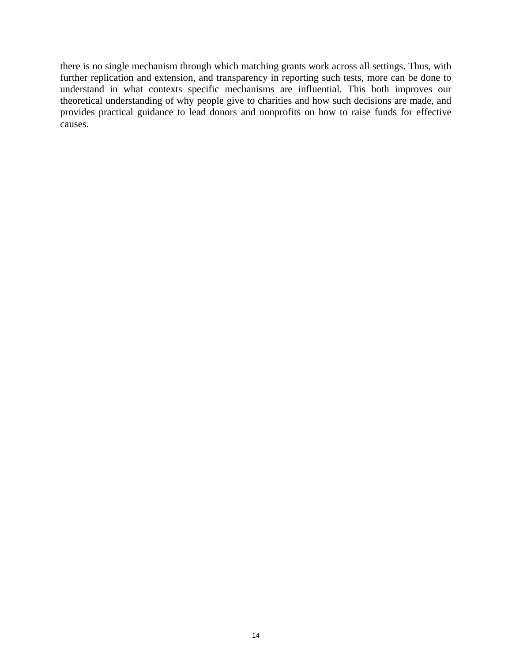there is no single mechanism through which matching grants work across all settings. Thus, with further replication and extension, and transparency in reporting such tests, more can be done to understand in what contexts specific mechanisms are influential. This both improves our theoretical understanding of why people give to charities and how such decisions are made, and provides practical guidance to lead donors and nonprofits on how to raise funds for effective causes.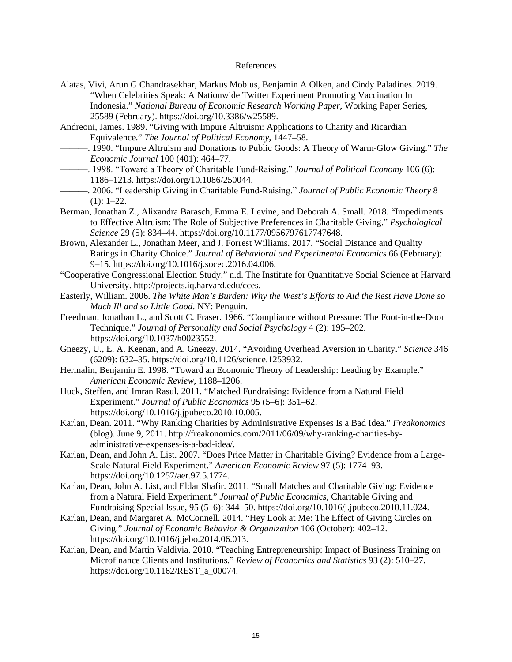#### References

- Alatas, Vivi, Arun G Chandrasekhar, Markus Mobius, Benjamin A Olken, and Cindy Paladines. 2019. "When Celebrities Speak: A Nationwide Twitter Experiment Promoting Vaccination In Indonesia." *National Bureau of Economic Research Working Paper*, Working Paper Series, 25589 (February). https://doi.org/10.3386/w25589.
- Andreoni, James. 1989. "Giving with Impure Altruism: Applications to Charity and Ricardian Equivalence." *The Journal of Political Economy*, 1447–58.
- ———. 1990. "Impure Altruism and Donations to Public Goods: A Theory of Warm-Glow Giving." *The Economic Journal* 100 (401): 464–77.
- ———. 1998. "Toward a Theory of Charitable Fund‐Raising." *Journal of Political Economy* 106 (6): 1186–1213. https://doi.org/10.1086/250044.
- ———. 2006. "Leadership Giving in Charitable Fund‐Raising." *Journal of Public Economic Theory* 8  $(1): 1-22.$
- Berman, Jonathan Z., Alixandra Barasch, Emma E. Levine, and Deborah A. Small. 2018. "Impediments to Effective Altruism: The Role of Subjective Preferences in Charitable Giving." *Psychological Science* 29 (5): 834–44. https://doi.org/10.1177/0956797617747648.
- Brown, Alexander L., Jonathan Meer, and J. Forrest Williams. 2017. "Social Distance and Quality Ratings in Charity Choice." *Journal of Behavioral and Experimental Economics* 66 (February): 9–15. https://doi.org/10.1016/j.socec.2016.04.006.
- "Cooperative Congressional Election Study." n.d. The Institute for Quantitative Social Science at Harvard University. http://projects.iq.harvard.edu/cces.
- Easterly, William. 2006. *The White Man's Burden: Why the West's Efforts to Aid the Rest Have Done so Much Ill and so Little Good*. NY: Penguin.
- Freedman, Jonathan L., and Scott C. Fraser. 1966. "Compliance without Pressure: The Foot-in-the-Door Technique." *Journal of Personality and Social Psychology* 4 (2): 195–202. https://doi.org/10.1037/h0023552.
- Gneezy, U., E. A. Keenan, and A. Gneezy. 2014. "Avoiding Overhead Aversion in Charity." *Science* 346 (6209): 632–35. https://doi.org/10.1126/science.1253932.
- Hermalin, Benjamin E. 1998. "Toward an Economic Theory of Leadership: Leading by Example." *American Economic Review*, 1188–1206.
- Huck, Steffen, and Imran Rasul. 2011. "Matched Fundraising: Evidence from a Natural Field Experiment." *Journal of Public Economics* 95 (5–6): 351–62. https://doi.org/10.1016/j.jpubeco.2010.10.005.
- Karlan, Dean. 2011. "Why Ranking Charities by Administrative Expenses Is a Bad Idea." *Freakonomics* (blog). June 9, 2011. http://freakonomics.com/2011/06/09/why-ranking-charities-byadministrative-expenses-is-a-bad-idea/.
- Karlan, Dean, and John A. List. 2007. "Does Price Matter in Charitable Giving? Evidence from a Large-Scale Natural Field Experiment." *American Economic Review* 97 (5): 1774–93. https://doi.org/10.1257/aer.97.5.1774.
- Karlan, Dean, John A. List, and Eldar Shafir. 2011. "Small Matches and Charitable Giving: Evidence from a Natural Field Experiment." *Journal of Public Economics*, Charitable Giving and Fundraising Special Issue, 95 (5–6): 344–50. https://doi.org/10.1016/j.jpubeco.2010.11.024.
- Karlan, Dean, and Margaret A. McConnell. 2014. "Hey Look at Me: The Effect of Giving Circles on Giving." *Journal of Economic Behavior & Organization* 106 (October): 402–12. https://doi.org/10.1016/j.jebo.2014.06.013.
- Karlan, Dean, and Martin Valdivia. 2010. "Teaching Entrepreneurship: Impact of Business Training on Microfinance Clients and Institutions." *Review of Economics and Statistics* 93 (2): 510–27. https://doi.org/10.1162/REST\_a\_00074.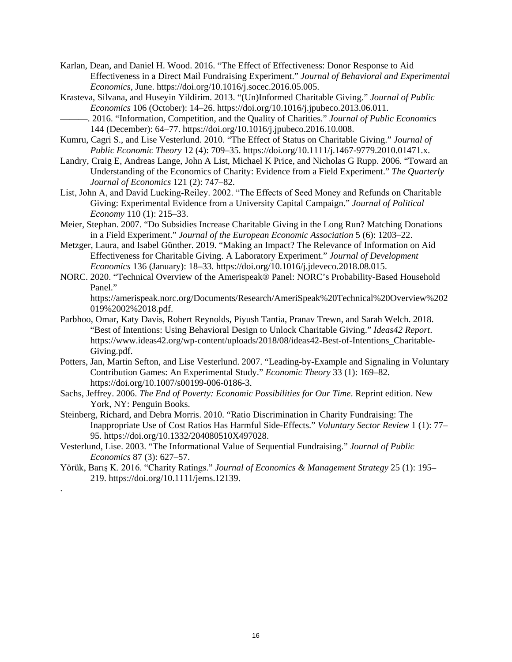- Karlan, Dean, and Daniel H. Wood. 2016. "The Effect of Effectiveness: Donor Response to Aid Effectiveness in a Direct Mail Fundraising Experiment." *Journal of Behavioral and Experimental Economics*, June. https://doi.org/10.1016/j.socec.2016.05.005.
- Krasteva, Silvana, and Huseyin Yildirim. 2013. "(Un)Informed Charitable Giving." *Journal of Public Economics* 106 (October): 14–26. https://doi.org/10.1016/j.jpubeco.2013.06.011.
- ———. 2016. "Information, Competition, and the Quality of Charities." *Journal of Public Economics* 144 (December): 64–77. https://doi.org/10.1016/j.jpubeco.2016.10.008.
- Kumru, Cagri S., and Lise Vesterlund. 2010. "The Effect of Status on Charitable Giving." *Journal of Public Economic Theory* 12 (4): 709–35. https://doi.org/10.1111/j.1467-9779.2010.01471.x.
- Landry, Craig E, Andreas Lange, John A List, Michael K Price, and Nicholas G Rupp. 2006. "Toward an Understanding of the Economics of Charity: Evidence from a Field Experiment." *The Quarterly Journal of Economics* 121 (2): 747–82.
- List, John A, and David Lucking‐Reiley. 2002. "The Effects of Seed Money and Refunds on Charitable Giving: Experimental Evidence from a University Capital Campaign." *Journal of Political Economy* 110 (1): 215–33.
- Meier, Stephan. 2007. "Do Subsidies Increase Charitable Giving in the Long Run? Matching Donations in a Field Experiment." *Journal of the European Economic Association* 5 (6): 1203–22.
- Metzger, Laura, and Isabel Günther. 2019. "Making an Impact? The Relevance of Information on Aid Effectiveness for Charitable Giving. A Laboratory Experiment." *Journal of Development Economics* 136 (January): 18–33. https://doi.org/10.1016/j.jdeveco.2018.08.015.
- NORC. 2020. "Technical Overview of the Amerispeak® Panel: NORC's Probability-Based Household Panel."

https://amerispeak.norc.org/Documents/Research/AmeriSpeak%20Technical%20Overview%202 019%2002%2018.pdf.

- Parbhoo, Omar, Katy Davis, Robert Reynolds, Piyush Tantia, Pranav Trewn, and Sarah Welch. 2018. "Best of Intentions: Using Behavioral Design to Unlock Charitable Giving." *Ideas42 Report*. https://www.ideas42.org/wp-content/uploads/2018/08/ideas42-Best-of-Intentions\_Charitable-Giving.pdf.
- Potters, Jan, Martin Sefton, and Lise Vesterlund. 2007. "Leading-by-Example and Signaling in Voluntary Contribution Games: An Experimental Study." *Economic Theory* 33 (1): 169–82. https://doi.org/10.1007/s00199-006-0186-3.
- Sachs, Jeffrey. 2006. *The End of Poverty: Economic Possibilities for Our Time*. Reprint edition. New York, NY: Penguin Books.
- Steinberg, Richard, and Debra Morris. 2010. "Ratio Discrimination in Charity Fundraising: The Inappropriate Use of Cost Ratios Has Harmful Side-Effects." *Voluntary Sector Review* 1 (1): 77– 95. https://doi.org/10.1332/204080510X497028.
- Vesterlund, Lise. 2003. "The Informational Value of Sequential Fundraising." *Journal of Public Economics* 87 (3): 627–57.

.

Yörük, Barış K. 2016. "Charity Ratings." *Journal of Economics & Management Strategy* 25 (1): 195– 219. https://doi.org/10.1111/jems.12139.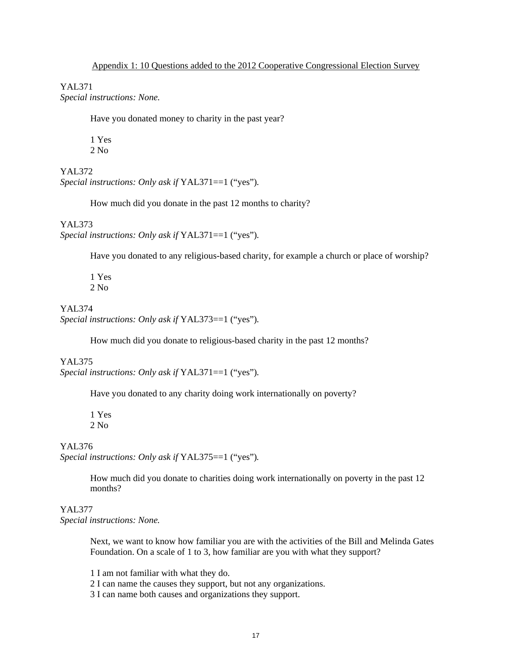YAL371 *Special instructions: None.*

Have you donated money to charity in the past year?

1 Yes  $2$  No.

YAL372 *Special instructions: Only ask if* YAL371==1 ("yes")*.* 

How much did you donate in the past 12 months to charity?

YAL373

*Special instructions: Only ask if* YAL371==1 ("yes")*.* 

Have you donated to any religious-based charity, for example a church or place of worship?

1 Yes 2 No

YAL374 *Special instructions: Only ask if* YAL373==1 ("yes")*.* 

How much did you donate to religious-based charity in the past 12 months?

### YAL375

*Special instructions: Only ask if* YAL371==1 ("yes")*.* 

Have you donated to any charity doing work internationally on poverty?

1 Yes 2 No

### YAL376

*Special instructions: Only ask if* YAL375==1 ("yes")*.* 

How much did you donate to charities doing work internationally on poverty in the past 12 months?

# YAL377

*Special instructions: None.*

Next, we want to know how familiar you are with the activities of the Bill and Melinda Gates Foundation. On a scale of 1 to 3, how familiar are you with what they support?

1 I am not familiar with what they do.

2 I can name the causes they support, but not any organizations.

3 I can name both causes and organizations they support.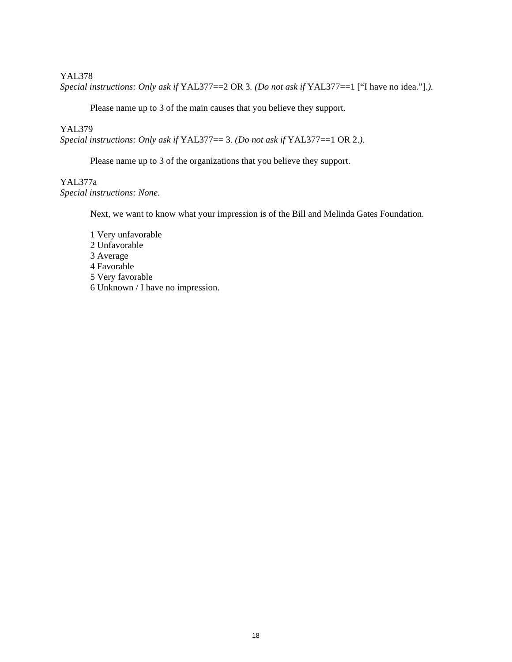### YAL378

*Special instructions: Only ask if* YAL377==2 OR 3*. (Do not ask if* YAL377==1 ["I have no idea."].*).* 

Please name up to 3 of the main causes that you believe they support.

### YAL379

*Special instructions: Only ask if* YAL377== 3*. (Do not ask if* YAL377==1 OR 2.*).* 

Please name up to 3 of the organizations that you believe they support.

## YAL377a *Special instructions: None.*

Next, we want to know what your impression is of the Bill and Melinda Gates Foundation.

1 Very unfavorable 2 Unfavorable 3 Average 4 Favorable 5 Very favorable 6 Unknown / I have no impression.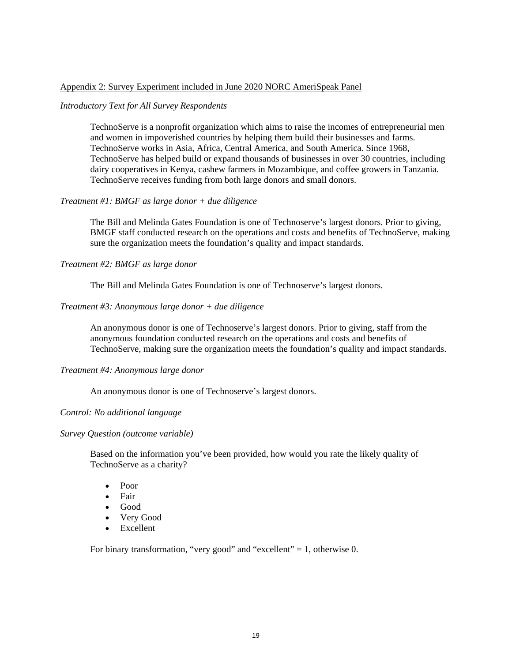### Appendix 2: Survey Experiment included in June 2020 NORC AmeriSpeak Panel

### *Introductory Text for All Survey Respondents*

TechnoServe is a nonprofit organization which aims to raise the incomes of entrepreneurial men and women in impoverished countries by helping them build their businesses and farms. TechnoServe works in Asia, Africa, Central America, and South America. Since 1968, TechnoServe has helped build or expand thousands of businesses in over 30 countries, including dairy cooperatives in Kenya, cashew farmers in Mozambique, and coffee growers in Tanzania. TechnoServe receives funding from both large donors and small donors.

### *Treatment #1: BMGF as large donor + due diligence*

The Bill and Melinda Gates Foundation is one of Technoserve's largest donors. Prior to giving, BMGF staff conducted research on the operations and costs and benefits of TechnoServe, making sure the organization meets the foundation's quality and impact standards.

### *Treatment #2: BMGF as large donor*

The Bill and Melinda Gates Foundation is one of Technoserve's largest donors.

### *Treatment #3: Anonymous large donor + due diligence*

An anonymous donor is one of Technoserve's largest donors. Prior to giving, staff from the anonymous foundation conducted research on the operations and costs and benefits of TechnoServe, making sure the organization meets the foundation's quality and impact standards.

#### *Treatment #4: Anonymous large donor*

An anonymous donor is one of Technoserve's largest donors.

#### *Control: No additional language*

*Survey Question (outcome variable)* 

Based on the information you've been provided, how would you rate the likely quality of TechnoServe as a charity?

- Poor
- Fair
- Good
- Very Good
- Excellent

For binary transformation, "very good" and "excellent" = 1, otherwise 0.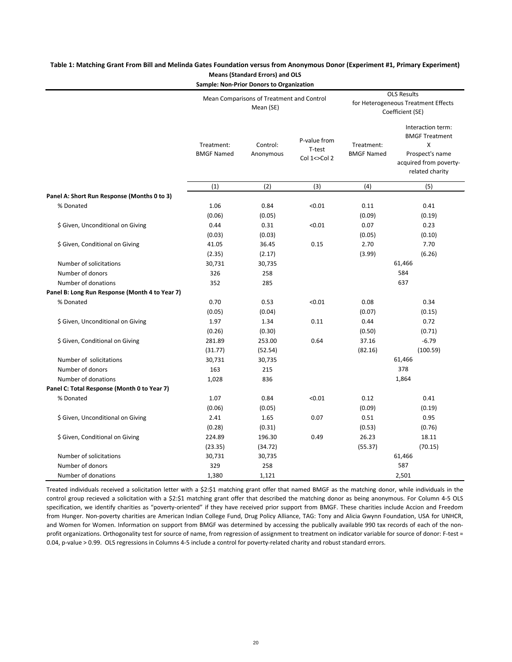| <b>Sample: Non-Prior Donors to Organization</b> |                                 |                                                        |                                                                               |                                 |                                                                                                                 |  |  |  |
|-------------------------------------------------|---------------------------------|--------------------------------------------------------|-------------------------------------------------------------------------------|---------------------------------|-----------------------------------------------------------------------------------------------------------------|--|--|--|
|                                                 |                                 | Mean Comparisons of Treatment and Control<br>Mean (SE) | <b>OLS Results</b><br>for Heterogeneous Treatment Effects<br>Coefficient (SE) |                                 |                                                                                                                 |  |  |  |
|                                                 | Treatment:<br><b>BMGF Named</b> | Control:<br>Anonymous                                  | P-value from<br>T-test<br>Col 1<>Col 2                                        | Treatment:<br><b>BMGF Named</b> | Interaction term:<br><b>BMGF Treatment</b><br>X<br>Prospect's name<br>acquired from poverty-<br>related charity |  |  |  |
|                                                 | (1)                             | (2)                                                    | (3)                                                                           | (4)                             | (5)                                                                                                             |  |  |  |
| Panel A: Short Run Response (Months 0 to 3)     |                                 |                                                        |                                                                               |                                 |                                                                                                                 |  |  |  |
| % Donated                                       | 1.06<br>(0.06)                  | 0.84<br>(0.05)                                         | < 0.01                                                                        | 0.11<br>(0.09)                  | 0.41<br>(0.19)                                                                                                  |  |  |  |
| \$ Given, Unconditional on Giving               | 0.44<br>(0.03)                  | 0.31<br>(0.03)                                         | < 0.01                                                                        | 0.07<br>(0.05)                  | 0.23<br>(0.10)                                                                                                  |  |  |  |
| \$ Given, Conditional on Giving                 | 41.05<br>(2.35)                 | 36.45<br>(2.17)                                        | 0.15                                                                          | 2.70<br>(3.99)                  | 7.70<br>(6.26)                                                                                                  |  |  |  |
| Number of solicitations                         | 30,731                          | 30,735                                                 |                                                                               |                                 | 61,466                                                                                                          |  |  |  |
| Number of donors                                | 326                             | 258                                                    |                                                                               | 584                             |                                                                                                                 |  |  |  |
| Number of donations                             | 352                             | 285                                                    |                                                                               | 637                             |                                                                                                                 |  |  |  |
| Panel B: Long Run Response (Month 4 to Year 7)  |                                 |                                                        |                                                                               |                                 |                                                                                                                 |  |  |  |
| % Donated                                       | 0.70<br>(0.05)                  | 0.53<br>(0.04)                                         | < 0.01                                                                        | 0.08<br>(0.07)                  | 0.34<br>(0.15)                                                                                                  |  |  |  |
| \$ Given, Unconditional on Giving               | 1.97<br>(0.26)                  | 1.34<br>(0.30)                                         | 0.11                                                                          | 0.44<br>(0.50)                  | 0.72<br>(0.71)                                                                                                  |  |  |  |
| \$ Given, Conditional on Giving                 | 281.89<br>(31.77)               | 253.00<br>(52.54)                                      | 0.64                                                                          | 37.16<br>(82.16)                | $-6.79$<br>(100.59)                                                                                             |  |  |  |
| Number of solicitations                         | 30,731                          | 30,735                                                 |                                                                               | 61,466                          |                                                                                                                 |  |  |  |
| Number of donors                                | 163                             | 215                                                    |                                                                               | 378                             |                                                                                                                 |  |  |  |
| Number of donations                             | 1,028                           | 836                                                    |                                                                               | 1,864                           |                                                                                                                 |  |  |  |
| Panel C: Total Response (Month 0 to Year 7)     |                                 |                                                        |                                                                               |                                 |                                                                                                                 |  |  |  |
| % Donated                                       | 1.07<br>(0.06)                  | 0.84<br>(0.05)                                         | < 0.01                                                                        | 0.12<br>(0.09)                  | 0.41<br>(0.19)                                                                                                  |  |  |  |
| \$ Given, Unconditional on Giving               | 2.41<br>(0.28)                  | 1.65<br>(0.31)                                         | 0.07                                                                          | 0.51<br>(0.53)                  | 0.95<br>(0.76)                                                                                                  |  |  |  |
| \$ Given, Conditional on Giving                 | 224.89<br>(23.35)               | 196.30<br>(34.72)                                      | 0.49                                                                          | 26.23<br>(55.37)                | 18.11<br>(70.15)                                                                                                |  |  |  |
| Number of solicitations                         | 30,731                          | 30,735                                                 |                                                                               |                                 | 61,466                                                                                                          |  |  |  |
| Number of donors                                | 329                             | 258                                                    |                                                                               | 587                             |                                                                                                                 |  |  |  |
| Number of donations                             | 1,380                           | 1,121                                                  |                                                                               | 2,501                           |                                                                                                                 |  |  |  |

# **Table 1: Matching Grant From Bill and Melinda Gates Foundation versus from Anonymous Donor (Experiment #1, Primary Experiment) Means (Standard Errors) and OLS**

Treated individuals received a solicitation letter with a \$2:\$1 matching grant offer that named BMGF as the matching donor, while individuals in the control group recieved a solicitation with a \$2:\$1 matching grant offer that described the matching donor as being anonymous. For Column 4-5 OLS specification, we identify charities as "poverty-oriented" if they have received prior support from BMGF. These charities include Accion and Freedom from Hunger. Non-poverty charities are American Indian College Fund, Drug Policy Alliance, TAG: Tony and Alicia Gwynn Foundation, USA for UNHCR, and Women for Women. Information on support from BMGF was determined by accessing the publically available 990 tax records of each of the nonprofit organizations. Orthogonality test for source of name, from regression of assignment to treatment on indicator variable for source of donor: F-test = 0.04, p-value > 0.99. OLS regressions in Columns 4-5 include a control for poverty-related charity and robust standard errors.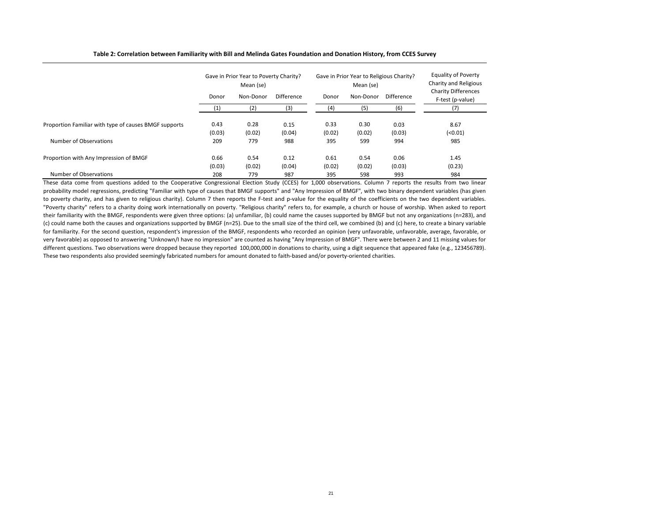# **Table 2: Correlation between Familiarity with Bill and Melinda Gates Foundation and Donation History, from CCES Survey**

|                                                       | Gave in Prior Year to Poverty Charity?<br>Mean (se) |           |                   | Gave in Prior Year to Religious Charity?<br>Mean (se) |           |                   | <b>Equality of Poverty</b><br>Charity and Religious |  |
|-------------------------------------------------------|-----------------------------------------------------|-----------|-------------------|-------------------------------------------------------|-----------|-------------------|-----------------------------------------------------|--|
|                                                       | Donor                                               | Non-Donor | <b>Difference</b> | Donor                                                 | Non-Donor | <b>Difference</b> | <b>Charity Differences</b><br>F-test (p-value)      |  |
|                                                       |                                                     | (2)       | (3)               | (4)                                                   | (5)       | (6)               | (7)                                                 |  |
| Proportion Familiar with type of causes BMGF supports | 0.43                                                | 0.28      | 0.15              | 0.33                                                  | 0.30      | 0.03              | 8.67                                                |  |
|                                                       | (0.03)                                              | (0.02)    | (0.04)            | (0.02)                                                | (0.02)    | (0.03)            | (0.01)                                              |  |
| Number of Observations                                | 209                                                 | 779       | 988               | 395                                                   | 599       | 994               | 985                                                 |  |
| Proportion with Any Impression of BMGF                | 0.66                                                | 0.54      | 0.12              | 0.61                                                  | 0.54      | 0.06              | 1.45                                                |  |
|                                                       | (0.03)                                              | (0.02)    | (0.04)            | (0.02)                                                | (0.02)    | (0.03)            | (0.23)                                              |  |
| Number of Observations                                | 208                                                 | 779       | 987               | 395                                                   | 598       | 993               | 984                                                 |  |

These data come from questions added to the Cooperative Congressional Election Study (CCES) for 1,000 observations. Column 7 reports the results from two linear probability model regressions, predicting "Familiar with type of causes that BMGF supports" and "Any Impression of BMGF", with two binary dependent variables (has given to poverty charity, and has given to religious charity). Column 7 then reports the F-test and p-value for the equality of the coefficients on the two dependent variables. "Poverty charity" refers to a charity doing work internationally on poverty. "Religious charity" refers to, for example, a church or house of worship. When asked to report their familiarity with the BMGF, respondents were given three options: (a) unfamiliar, (b) could name the causes supported by BMGF but not any organizations (n=283), and (c) could name both the causes and organizations supported by BMGF (n=25). Due to the small size of the third cell, we combined (b) and (c) here, to create a binary variable for familiarity. For the second question, respondent's impression of the BMGF, respondents who recorded an opinion (very unfavorable, unfavorable, average, favorable, or very favorable) as opposed to answering "Unknown/I have no impression" are counted as having "Any Impression of BMGF". There were between 2 and 11 missing values for different questions. Two observations were dropped because they reported 100,000,000 in donations to charity, using a digit sequence that appeared fake (e.g., 123456789). These two respondents also provided seemingly fabricated numbers for amount donated to faith-based and/or poverty-oriented charities.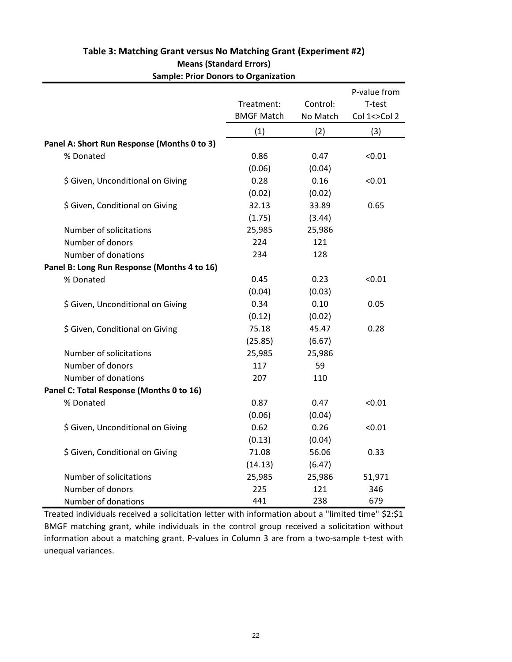|                                             |                   |          | P-value from |
|---------------------------------------------|-------------------|----------|--------------|
|                                             | Treatment:        | Control: | T-test       |
|                                             | <b>BMGF Match</b> | No Match | Col 1<>Col 2 |
|                                             | (1)               | (2)      | (3)          |
| Panel A: Short Run Response (Months 0 to 3) |                   |          |              |
| % Donated                                   | 0.86              | 0.47     | < 0.01       |
|                                             | (0.06)            | (0.04)   |              |
| \$ Given, Unconditional on Giving           | 0.28              | 0.16     | < 0.01       |
|                                             | (0.02)            | (0.02)   |              |
| \$ Given, Conditional on Giving             | 32.13             | 33.89    | 0.65         |
|                                             | (1.75)            | (3.44)   |              |
| Number of solicitations                     | 25,985            | 25,986   |              |
| Number of donors                            | 224               | 121      |              |
| Number of donations                         | 234               | 128      |              |
| Panel B: Long Run Response (Months 4 to 16) |                   |          |              |
| % Donated                                   | 0.45              | 0.23     | < 0.01       |
|                                             | (0.04)            | (0.03)   |              |
| \$ Given, Unconditional on Giving           | 0.34              | 0.10     | 0.05         |
|                                             | (0.12)            | (0.02)   |              |
| \$ Given, Conditional on Giving             | 75.18             | 45.47    | 0.28         |
|                                             | (25.85)           | (6.67)   |              |
| Number of solicitations                     | 25,985            | 25,986   |              |
| Number of donors                            | 117               | 59       |              |
| Number of donations                         | 207               | 110      |              |
| Panel C: Total Response (Months 0 to 16)    |                   |          |              |
| % Donated                                   | 0.87              | 0.47     | < 0.01       |
|                                             | (0.06)            | (0.04)   |              |
| \$ Given, Unconditional on Giving           | 0.62              | 0.26     | < 0.01       |
|                                             | (0.13)            | (0.04)   |              |
| \$ Given, Conditional on Giving             | 71.08             | 56.06    | 0.33         |
|                                             | (14.13)           | (6.47)   |              |
| Number of solicitations                     | 25,985            | 25,986   | 51,971       |
| Number of donors                            | 225               | 121      | 346          |
| Number of donations                         | 441               | 238      | 679          |

# **Table 3: Matching Grant versus No Matching Grant (Experiment #2) Means (Standard Errors) Sample: Prior Donors to Organization**

Treated individuals received a solicitation letter with information about a "limited time" \$2:\$1 BMGF matching grant, while individuals in the control group received a solicitation without information about a matching grant. P-values in Column 3 are from a two-sample t-test with unequal variances.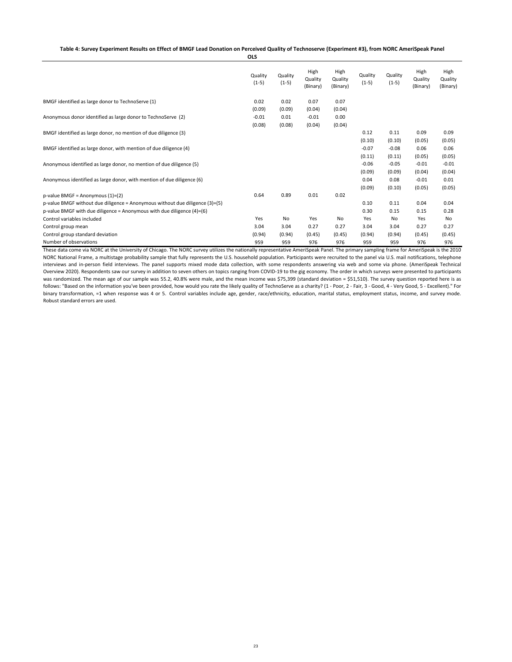|                                                                              | <b>OLS</b>         |                    |                             |                             |                    |                    |                             |                             |
|------------------------------------------------------------------------------|--------------------|--------------------|-----------------------------|-----------------------------|--------------------|--------------------|-----------------------------|-----------------------------|
|                                                                              | Quality<br>$(1-5)$ | Quality<br>$(1-5)$ | High<br>Quality<br>(Binary) | High<br>Quality<br>(Binary) | Quality<br>$(1-5)$ | Quality<br>$(1-5)$ | High<br>Quality<br>(Binary) | High<br>Quality<br>(Binary) |
| BMGF identified as large donor to TechnoServe (1)                            | 0.02               | 0.02               | 0.07                        | 0.07                        |                    |                    |                             |                             |
|                                                                              | (0.09)             | (0.09)             | (0.04)                      | (0.04)                      |                    |                    |                             |                             |
| Anonymous donor identified as large donor to TechnoServe (2)                 | $-0.01$            | 0.01               | $-0.01$                     | 0.00                        |                    |                    |                             |                             |
|                                                                              | (0.08)             | (0.08)             | (0.04)                      | (0.04)                      |                    |                    |                             |                             |
| BMGF identified as large donor, no mention of due diligence (3)              |                    |                    |                             |                             | 0.12               | 0.11               | 0.09                        | 0.09                        |
|                                                                              |                    |                    |                             |                             | (0.10)             | (0.10)             | (0.05)                      | (0.05)                      |
| BMGF identified as large donor, with mention of due diligence (4)            |                    |                    |                             |                             | $-0.07$            | $-0.08$            | 0.06                        | 0.06                        |
|                                                                              |                    |                    |                             |                             | (0.11)             | (0.11)             | (0.05)                      | (0.05)                      |
| Anonymous identified as large donor, no mention of due diligence (5)         |                    |                    |                             |                             | $-0.06$            | $-0.05$            | $-0.01$                     | $-0.01$                     |
|                                                                              |                    |                    |                             |                             | (0.09)             | (0.09)             | (0.04)                      | (0.04)                      |
| Anonymous identified as large donor, with mention of due diligence (6)       |                    |                    |                             |                             | 0.04               | 0.08               | $-0.01$                     | 0.01                        |
|                                                                              |                    |                    |                             |                             | (0.09)             | (0.10)             | (0.05)                      | (0.05)                      |
| p-value BMGF = Anonymous $(1)=(2)$                                           | 0.64               | 0.89               | 0.01                        | 0.02                        |                    |                    |                             |                             |
| p-value BMGF without due diligence = Anonymous without due diligence (3)=(5) |                    |                    |                             |                             | 0.10               | 0.11               | 0.04                        | 0.04                        |
| p-value BMGF with due diligence = Anonymous with due diligence $(4)=(6)$     |                    |                    |                             |                             | 0.30               | 0.15               | 0.15                        | 0.28                        |
| Control variables included                                                   | Yes                | <b>No</b>          | Yes                         | No                          | Yes                | No                 | Yes                         | No                          |
| Control group mean                                                           | 3.04               | 3.04               | 0.27                        | 0.27                        | 3.04               | 3.04               | 0.27                        | 0.27                        |
| Control group standard deviation                                             | (0.94)             | (0.94)             | (0.45)                      | (0.45)                      | (0.94)             | (0.94)             | (0.45)                      | (0.45)                      |
| Number of observations                                                       | 959                | 959                | 976                         | 976                         | 959                | 959                | 976                         | 976                         |

These data come via NORC at the University of Chicago. The NORC survey utilizes the nationally representative AmeriSpeak Panel. The primary sampling frame for AmeriSpeak is the 2010 NORC National Frame, a multistage probability sample that fully represents the U.S. household population. Participants were recruited to the panel via U.S. mail notifications, telephone interviews and in-person field interviews. The panel supports mixed mode data collection, with some respondents answering via web and some via phone. (AmeriSpeak Technical Overview 2020). Respondents saw our survey in addition to seven others on topics ranging from COVID-19 to the gig economy. The order in which surveys were presented to participants was randomized. The mean age of our sample was 55.2, 40.8% were male, and the mean income was \$75,399 (standard deviation = \$51,510). The survey question reported here is as follows: "Based on the information you've been provided, how would you rate the likely quality of TechnoServe as a charity? (1 - Poor, 2 - Fair, 3 - Good, 4 - Very Good, 5 - Excellent)." For binary transformation, =1 when response was 4 or 5. Control variables include age, gender, race/ethnicity, education, marital status, employment status, income, and survey mode. Robust standard errors are used.

**Table 4: Survey Experiment Results on Effect of BMGF Lead Donation on Perceived Quality of Technoserve (Experiment #3), from NORC AmeriSpeak Panel**